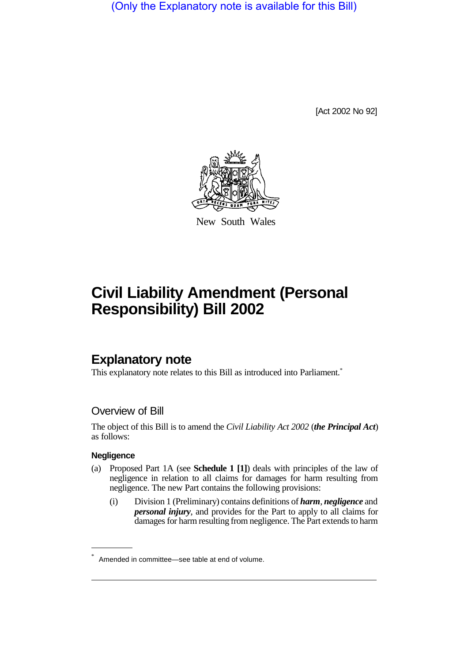(Only the Explanatory note is available for this Bill)

[Act 2002 No 92]



New South Wales

# **Civil Liability Amendment (Personal Responsibility) Bill 2002**

# **Explanatory note**

This explanatory note relates to this Bill as introduced into Parliament.<sup>\*</sup>

## Overview of Bill

The object of this Bill is to amend the *Civil Liability Act 2002* (*the Principal Act*) as follows:

#### **Negligence**

- (a) Proposed Part 1A (see **Schedule 1 [1]**) deals with principles of the law of negligence in relation to all claims for damages for harm resulting from negligence. The new Part contains the following provisions:
	- (i) Division 1 (Preliminary) contains definitions of *harm*, *negligence* and *personal injury*, and provides for the Part to apply to all claims for damages for harm resulting from negligence. The Part extends to harm

Amended in committee—see table at end of volume.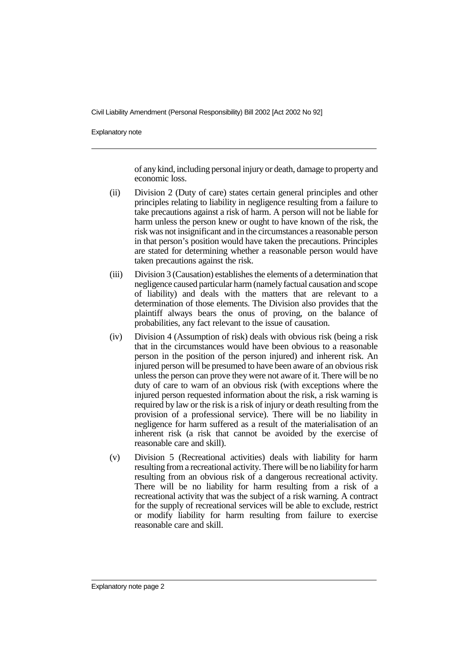Explanatory note

of any kind, including personal injury or death, damage to property and economic loss.

- (ii) Division 2 (Duty of care) states certain general principles and other principles relating to liability in negligence resulting from a failure to take precautions against a risk of harm. A person will not be liable for harm unless the person knew or ought to have known of the risk, the risk was not insignificant and in the circumstances a reasonable person in that person's position would have taken the precautions. Principles are stated for determining whether a reasonable person would have taken precautions against the risk.
- (iii) Division 3 (Causation) establishes the elements of a determination that negligence caused particular harm (namely factual causation and scope of liability) and deals with the matters that are relevant to a determination of those elements. The Division also provides that the plaintiff always bears the onus of proving, on the balance of probabilities, any fact relevant to the issue of causation.
- (iv) Division 4 (Assumption of risk) deals with obvious risk (being a risk that in the circumstances would have been obvious to a reasonable person in the position of the person injured) and inherent risk. An injured person will be presumed to have been aware of an obvious risk unless the person can prove they were not aware of it. There will be no duty of care to warn of an obvious risk (with exceptions where the injured person requested information about the risk, a risk warning is required by law or the risk is a risk of injury or death resulting from the provision of a professional service). There will be no liability in negligence for harm suffered as a result of the materialisation of an inherent risk (a risk that cannot be avoided by the exercise of reasonable care and skill).
- (v) Division 5 (Recreational activities) deals with liability for harm resulting from a recreational activity. There will be no liability for harm resulting from an obvious risk of a dangerous recreational activity. There will be no liability for harm resulting from a risk of a recreational activity that was the subject of a risk warning. A contract for the supply of recreational services will be able to exclude, restrict or modify liability for harm resulting from failure to exercise reasonable care and skill.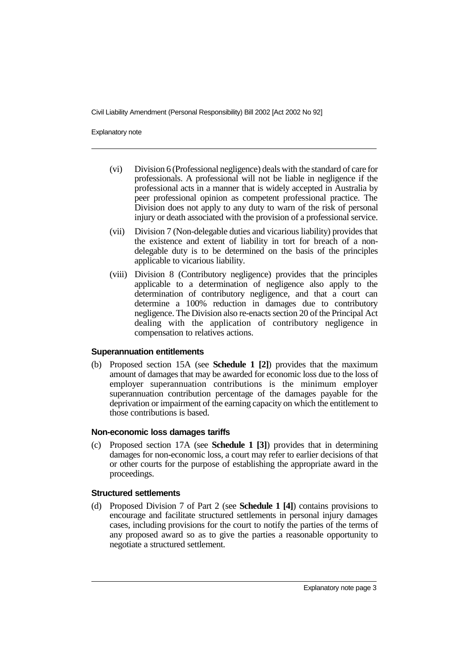Explanatory note

- (vi) Division 6 (Professional negligence) deals with the standard of care for professionals. A professional will not be liable in negligence if the professional acts in a manner that is widely accepted in Australia by peer professional opinion as competent professional practice. The Division does not apply to any duty to warn of the risk of personal injury or death associated with the provision of a professional service.
- (vii) Division 7 (Non-delegable duties and vicarious liability) provides that the existence and extent of liability in tort for breach of a nondelegable duty is to be determined on the basis of the principles applicable to vicarious liability.
- (viii) Division 8 (Contributory negligence) provides that the principles applicable to a determination of negligence also apply to the determination of contributory negligence, and that a court can determine a 100% reduction in damages due to contributory negligence. The Division also re-enacts section 20 of the Principal Act dealing with the application of contributory negligence in compensation to relatives actions.

#### **Superannuation entitlements**

(b) Proposed section 15A (see **Schedule 1 [2]**) provides that the maximum amount of damages that may be awarded for economic loss due to the loss of employer superannuation contributions is the minimum employer superannuation contribution percentage of the damages payable for the deprivation or impairment of the earning capacity on which the entitlement to those contributions is based.

#### **Non-economic loss damages tariffs**

(c) Proposed section 17A (see **Schedule 1 [3]**) provides that in determining damages for non-economic loss, a court may refer to earlier decisions of that or other courts for the purpose of establishing the appropriate award in the proceedings.

#### **Structured settlements**

(d) Proposed Division 7 of Part 2 (see **Schedule 1 [4]**) contains provisions to encourage and facilitate structured settlements in personal injury damages cases, including provisions for the court to notify the parties of the terms of any proposed award so as to give the parties a reasonable opportunity to negotiate a structured settlement.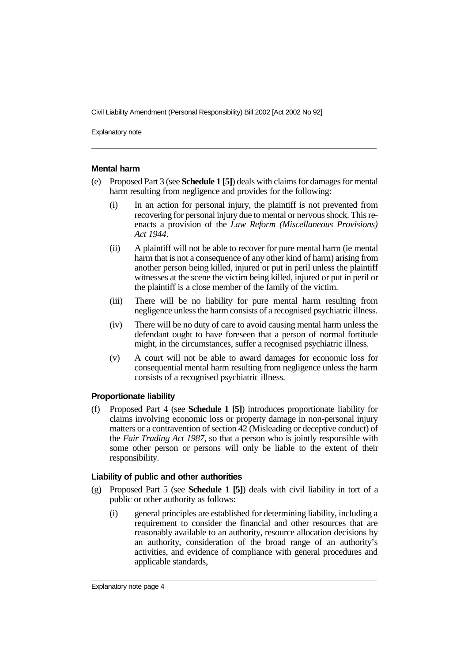Explanatory note

#### **Mental harm**

- (e) Proposed Part 3 (see **Schedule 1 [5]**) deals with claims for damages for mental harm resulting from negligence and provides for the following:
	- (i) In an action for personal injury, the plaintiff is not prevented from recovering for personal injury due to mental or nervous shock. This reenacts a provision of the *Law Reform (Miscellaneous Provisions) Act 1944*.
	- (ii) A plaintiff will not be able to recover for pure mental harm (ie mental harm that is not a consequence of any other kind of harm) arising from another person being killed, injured or put in peril unless the plaintiff witnesses at the scene the victim being killed, injured or put in peril or the plaintiff is a close member of the family of the victim.
	- (iii) There will be no liability for pure mental harm resulting from negligence unless the harm consists of a recognised psychiatric illness.
	- (iv) There will be no duty of care to avoid causing mental harm unless the defendant ought to have foreseen that a person of normal fortitude might, in the circumstances, suffer a recognised psychiatric illness.
	- (v) A court will not be able to award damages for economic loss for consequential mental harm resulting from negligence unless the harm consists of a recognised psychiatric illness.

#### **Proportionate liability**

(f) Proposed Part 4 (see **Schedule 1 [5]**) introduces proportionate liability for claims involving economic loss or property damage in non-personal injury matters or a contravention of section 42 (Misleading or deceptive conduct) of the *Fair Trading Act 1987*, so that a person who is jointly responsible with some other person or persons will only be liable to the extent of their responsibility.

#### **Liability of public and other authorities**

- (g) Proposed Part 5 (see **Schedule 1 [5]**) deals with civil liability in tort of a public or other authority as follows:
	- (i) general principles are established for determining liability, including a requirement to consider the financial and other resources that are reasonably available to an authority, resource allocation decisions by an authority, consideration of the broad range of an authority's activities, and evidence of compliance with general procedures and applicable standards,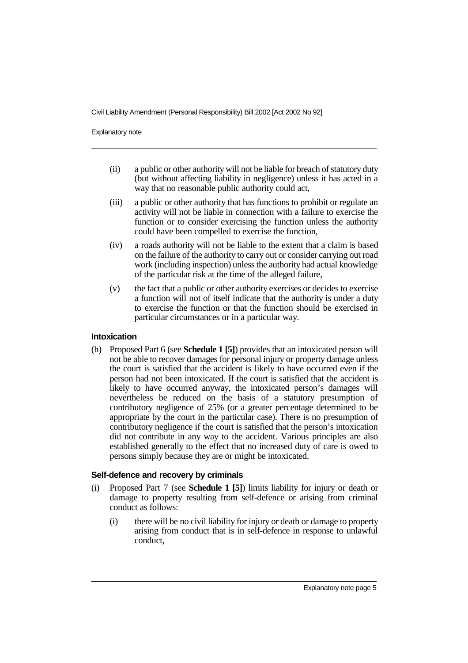Explanatory note

- (ii) a public or other authority will not be liable for breach of statutory duty (but without affecting liability in negligence) unless it has acted in a way that no reasonable public authority could act,
- (iii) a public or other authority that has functions to prohibit or regulate an activity will not be liable in connection with a failure to exercise the function or to consider exercising the function unless the authority could have been compelled to exercise the function,
- (iv) a roads authority will not be liable to the extent that a claim is based on the failure of the authority to carry out or consider carrying out road work (including inspection) unless the authority had actual knowledge of the particular risk at the time of the alleged failure,
- (v) the fact that a public or other authority exercises or decides to exercise a function will not of itself indicate that the authority is under a duty to exercise the function or that the function should be exercised in particular circumstances or in a particular way.

#### **Intoxication**

(h) Proposed Part 6 (see **Schedule 1 [5]**) provides that an intoxicated person will not be able to recover damages for personal injury or property damage unless the court is satisfied that the accident is likely to have occurred even if the person had not been intoxicated. If the court is satisfied that the accident is likely to have occurred anyway, the intoxicated person's damages will nevertheless be reduced on the basis of a statutory presumption of contributory negligence of 25% (or a greater percentage determined to be appropriate by the court in the particular case). There is no presumption of contributory negligence if the court is satisfied that the person's intoxication did not contribute in any way to the accident. Various principles are also established generally to the effect that no increased duty of care is owed to persons simply because they are or might be intoxicated.

#### **Self-defence and recovery by criminals**

- (i) Proposed Part 7 (see **Schedule 1 [5]**) limits liability for injury or death or damage to property resulting from self-defence or arising from criminal conduct as follows:
	- (i) there will be no civil liability for injury or death or damage to property arising from conduct that is in self-defence in response to unlawful conduct,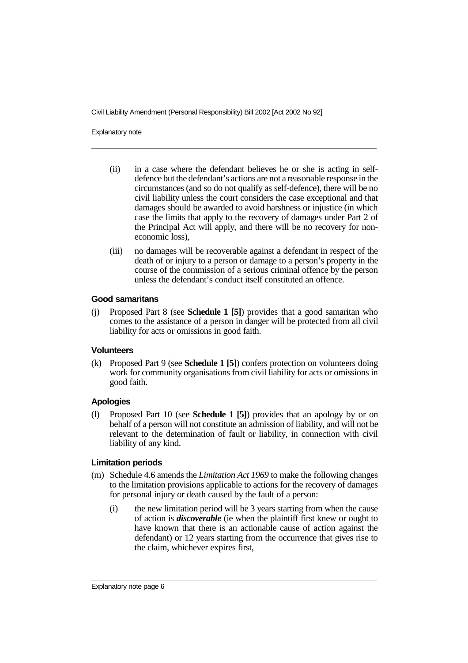Explanatory note

- (ii) in a case where the defendant believes he or she is acting in selfdefence but the defendant's actions are not a reasonable response in the circumstances (and so do not qualify as self-defence), there will be no civil liability unless the court considers the case exceptional and that damages should be awarded to avoid harshness or injustice (in which case the limits that apply to the recovery of damages under Part 2 of the Principal Act will apply, and there will be no recovery for noneconomic loss),
- (iii) no damages will be recoverable against a defendant in respect of the death of or injury to a person or damage to a person's property in the course of the commission of a serious criminal offence by the person unless the defendant's conduct itself constituted an offence.

#### **Good samaritans**

(j) Proposed Part 8 (see **Schedule 1 [5]**) provides that a good samaritan who comes to the assistance of a person in danger will be protected from all civil liability for acts or omissions in good faith.

#### **Volunteers**

(k) Proposed Part 9 (see **Schedule 1 [5]**) confers protection on volunteers doing work for community organisations from civil liability for acts or omissions in good faith.

#### **Apologies**

(l) Proposed Part 10 (see **Schedule 1 [5]**) provides that an apology by or on behalf of a person will not constitute an admission of liability, and will not be relevant to the determination of fault or liability, in connection with civil liability of any kind.

#### **Limitation periods**

- (m) Schedule 4.6 amends the *Limitation Act 1969* to make the following changes to the limitation provisions applicable to actions for the recovery of damages for personal injury or death caused by the fault of a person:
	- (i) the new limitation period will be 3 years starting from when the cause of action is *discoverable* (ie when the plaintiff first knew or ought to have known that there is an actionable cause of action against the defendant) or 12 years starting from the occurrence that gives rise to the claim, whichever expires first,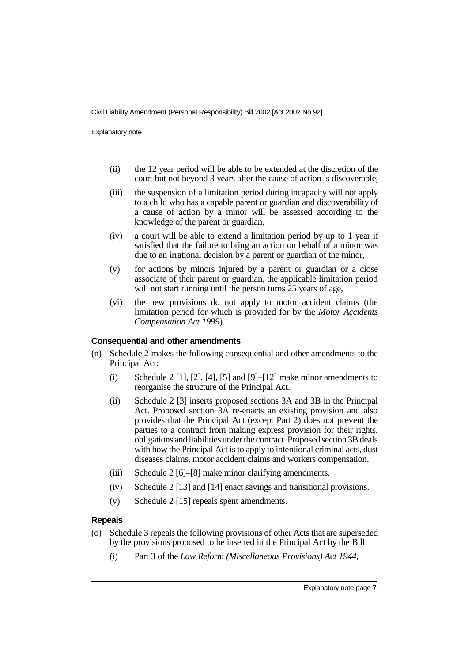Explanatory note

- (ii) the 12 year period will be able to be extended at the discretion of the court but not beyond 3 years after the cause of action is discoverable,
- (iii) the suspension of a limitation period during incapacity will not apply to a child who has a capable parent or guardian and discoverability of a cause of action by a minor will be assessed according to the knowledge of the parent or guardian,
- (iv) a court will be able to extend a limitation period by up to 1 year if satisfied that the failure to bring an action on behalf of a minor was due to an irrational decision by a parent or guardian of the minor,
- (v) for actions by minors injured by a parent or guardian or a close associate of their parent or guardian, the applicable limitation period will not start running until the person turns 25 years of age,
- (vi) the new provisions do not apply to motor accident claims (the limitation period for which is provided for by the *Motor Accidents Compensation Act 1999*).

#### **Consequential and other amendments**

- (n) Schedule 2 makes the following consequential and other amendments to the Principal Act:
	- (i) Schedule 2 [1], [2], [4], [5] and [9]–[12] make minor amendments to reorganise the structure of the Principal Act.
	- (ii) Schedule 2 [3] inserts proposed sections 3A and 3B in the Principal Act. Proposed section 3A re-enacts an existing provision and also provides that the Principal Act (except Part 2) does not prevent the parties to a contract from making express provision for their rights, obligations and liabilities under the contract. Proposed section 3B deals with how the Principal Act is to apply to intentional criminal acts, dust diseases claims, motor accident claims and workers compensation.
	- (iii) Schedule 2 [6]–[8] make minor clarifying amendments.
	- (iv) Schedule 2 [13] and [14] enact savings and transitional provisions.
	- (v) Schedule 2 [15] repeals spent amendments.

#### **Repeals**

- (o) Schedule 3 repeals the following provisions of other Acts that are superseded by the provisions proposed to be inserted in the Principal Act by the Bill:
	- (i) Part 3 of the *Law Reform (Miscellaneous Provisions) Act 1944*,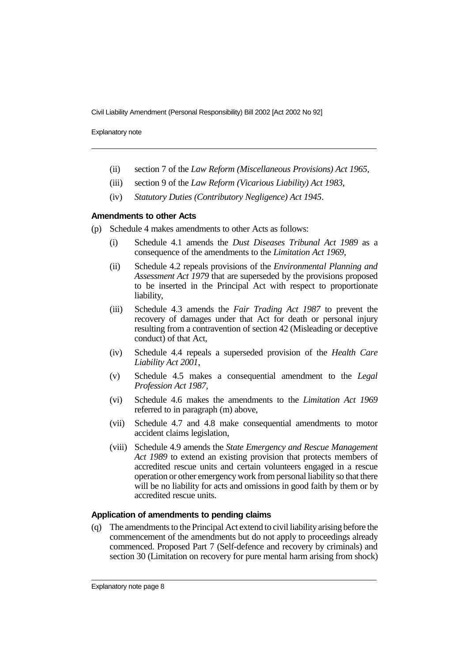Explanatory note

- (ii) section 7 of the *Law Reform (Miscellaneous Provisions) Act 1965*,
- (iii) section 9 of the *Law Reform (Vicarious Liability) Act 1983*,
- (iv) *Statutory Duties (Contributory Negligence) Act 1945*.

#### **Amendments to other Acts**

- (p) Schedule 4 makes amendments to other Acts as follows:
	- (i) Schedule 4.1 amends the *Dust Diseases Tribunal Act 1989* as a consequence of the amendments to the *Limitation Act 1969*,
	- (ii) Schedule 4.2 repeals provisions of the *Environmental Planning and Assessment Act 1979* that are superseded by the provisions proposed to be inserted in the Principal Act with respect to proportionate liability,
	- (iii) Schedule 4.3 amends the *Fair Trading Act 1987* to prevent the recovery of damages under that Act for death or personal injury resulting from a contravention of section 42 (Misleading or deceptive conduct) of that Act,
	- (iv) Schedule 4.4 repeals a superseded provision of the *Health Care Liability Act 2001*,
	- (v) Schedule 4.5 makes a consequential amendment to the *Legal Profession Act 1987*,
	- (vi) Schedule 4.6 makes the amendments to the *Limitation Act 1969* referred to in paragraph (m) above,
	- (vii) Schedule 4.7 and 4.8 make consequential amendments to motor accident claims legislation,
	- (viii) Schedule 4.9 amends the *State Emergency and Rescue Management Act 1989* to extend an existing provision that protects members of accredited rescue units and certain volunteers engaged in a rescue operation or other emergency work from personal liability so that there will be no liability for acts and omissions in good faith by them or by accredited rescue units.

#### **Application of amendments to pending claims**

(q) The amendments to the Principal Act extend to civil liability arising before the commencement of the amendments but do not apply to proceedings already commenced. Proposed Part 7 (Self-defence and recovery by criminals) and section 30 (Limitation on recovery for pure mental harm arising from shock)